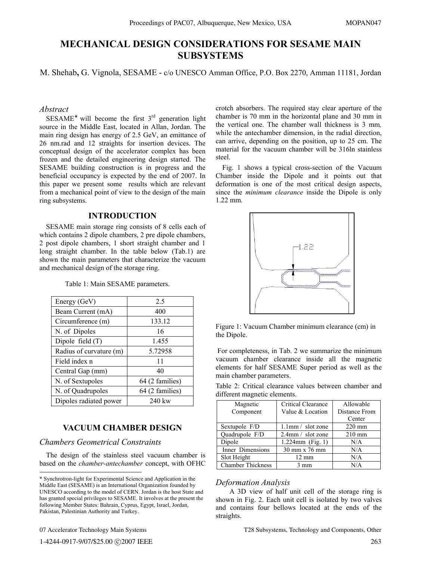# **MECHANICAL DESIGN CONSIDERATIONS FOR SESAME MAIN SUBSYSTEMS**

M. Shehab**,** G. Vignola, SESAME - c/o UNESCO Amman Office, P.O. Box 2270, Amman 11181, Jordan

#### *Abstract*

 $SESAME^*$  will become the first 3<sup>rd</sup> generation light source in the Middle East, located in Allan, Jordan. The main ring design has energy of 2.5 GeV, an emittance of 26 nm.rad and 12 straights for insertion devices. The conceptual design of the accelerator complex has been frozen and the detailed engineering design started. The SESAME building construction is in progress and the beneficial occupancy is expected by the end of 2007. In this paper we present some results which are relevant from a mechanical point of view to the design of the main ring subsystems.

## **INTRODUCTION**

SESAME main storage ring consists of 8 cells each of which contains 2 dipole chambers, 2 pre dipole chambers, 2 post dipole chambers, 1 short straight chamber and 1 long straight chamber. In the table below (Tab.1) are shown the main parameters that characterize the vacuum and mechanical design of the storage ring.

| Energy (GeV)            | 2.5             |
|-------------------------|-----------------|
| Beam Current (mA)       | 400             |
| Circumference (m)       | 133.12          |
| N. of Dipoles           | 16              |
| Dipole field $(T)$      | 1.455           |
| Radius of curvature (m) | 5.72958         |
| Field index n           | 11              |
| Central Gap (mm)        | 40              |
| N. of Sextupoles        | 64 (2 families) |
| N. of Quadrupoles       | 64 (2 families) |
| Dipoles radiated power  | 240 kw          |

Table 1: Main SESAME parameters.

# **VACUUM CHAMBER DESIGN**

# *Chambers Geometrical Constraints*

The design of the stainless steel vacuum chamber is based on the *chamber-antechamber* concept, with OFHC

07 Accelerator Technology Main Systems

 $\overline{a}$ 

crotch absorbers. The required stay clear aperture of the chamber is 70 mm in the horizontal plane and 30 mm in the vertical one. The chamber wall thickness is 3 mm*,*  while the antechamber dimension, in the radial direction, can arrive, depending on the position, up to 25 cm. The material for the vacuum chamber will be 316ln stainless steel.

Fig. 1 shows a typical cross-section of the Vacuum Chamber inside the Dipole and it points out that deformation is one of the most critical design aspects, since the *minimum clearance* inside the Dipole is only 1.22 mm.



Figure 1: Vacuum Chamber minimum clearance (cm) in the Dipole.

 For completeness, in Tab. 2 we summarize the minimum vacuum chamber clearance inside all the magnetic elements for half SESAME Super period as well as the main chamber parameters.

Table 2: Critical clearance values between chamber and different magnetic elements.

| Magnetic                 | Critical Clearance   | Allowable        |
|--------------------------|----------------------|------------------|
| Component                | Value & Location     | Distance From    |
|                          |                      | Center           |
| Sextupole F/D            | $1.1$ mm / slot zone | $220$ mm         |
| Ouadrupole F/D           | $2.4$ mm / slot zone | $210 \text{ mm}$ |
| Dipole                   | 1.224mm (Fig. 1)     | N/A              |
| Inner Dimensions         | 30 mm x 76 mm        | N/A              |
| Slot Height              | $12 \text{ mm}$      | N/A              |
| <b>Chamber Thickness</b> | mm                   | N/A              |

#### *Deformation Analysis*

A 3D view of half unit cell of the storage ring is shown in Fig. 2. Each unit cell is isolated by two valves and contains four bellows located at the ends of the straights.

T28 Subsystems, Technology and Components, Other

<sup>\*</sup> Synchrotron-light for Experimental Science and Application in the Middle East (SESAME) is an International Organization founded by UNESCO according to the model of CERN. Jordan is the host State and has granted special privileges to SESAME. It involves at the present the following Member States: Bahrain, Cyprus, Egypt, Israel, Jordan, Pakistan, Palestinian Authority and Turkey.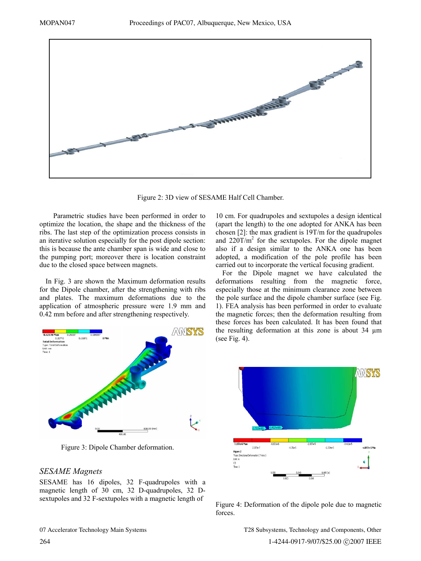

Figure 2: 3D view of SESAME Half Cell Chamber.

Parametric studies have been performed in order to optimize the location, the shape and the thickness of the ribs. The last step of the optimization process consists in an iterative solution especially for the post dipole section: this is because the ante chamber span is wide and close to the pumping port; moreover there is location constraint due to the closed space between magnets.

In Fig. 3 are shown the Maximum deformation results for the Dipole chamber, after the strengthening with ribs and plates. The maximum deformations due to the application of atmospheric pressure were 1.9 mm and 0.42 mm before and after strengthening respectively.



Figure 3: Dipole Chamber deformation.

# *SESAME Magnets*

SESAME has 16 dipoles, 32 F-quadrupoles with a magnetic length of 30 cm, 32 D-quadrupoles, 32 Dsextupoles and 32 F-sextupoles with a magnetic length of

10 cm. For quadrupoles and sextupoles a design identical (apart the length) to the one adopted for ANKA has been chosen [2]: the max gradient is 19T/m for the quadrupoles and  $220$ T/m<sup>2</sup> for the sextupoles. For the dipole magnet also if a design similar to the ANKA one has been adopted, a modification of the pole profile has been carried out to incorporate the vertical focusing gradient.

For the Dipole magnet we have calculated the deformations resulting from the magnetic force, especially those at the minimum clearance zone between the pole surface and the dipole chamber surface (see Fig. 1). FEA analysis has been performed in order to evaluate the magnetic forces; then the deformation resulting from these forces has been calculated. It has been found that the resulting deformation at this zone is about 34 µm (see Fig. 4).



Figure 4: Deformation of the dipole pole due to magnetic forces.

T28 Subsystems, Technology and Components, Other 1-4244-0917-9/07/\$25.00 ©2007 IEEE